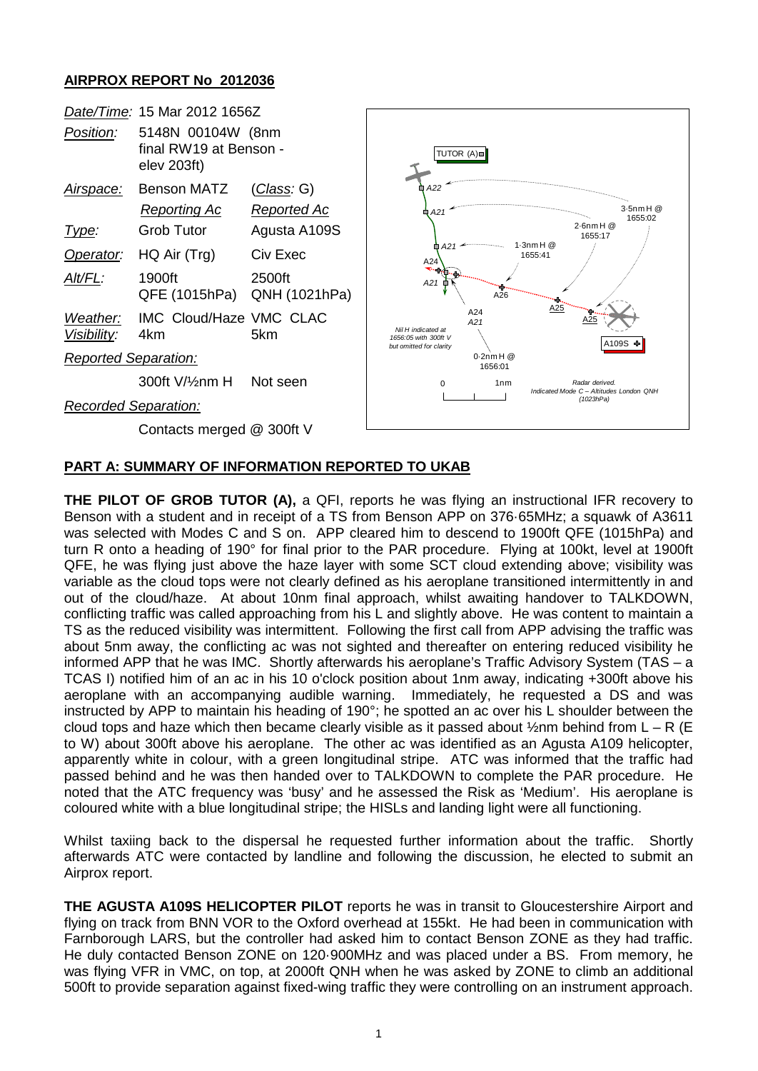## **AIRPROX REPORT No 2012036**

| Date/Time: 15 Mar 2012 1656Z |                                                            |                         |                                                                                                              |
|------------------------------|------------------------------------------------------------|-------------------------|--------------------------------------------------------------------------------------------------------------|
| Position:                    | 5148N 00104W (8nm<br>final RW19 at Benson -<br>elev 203ft) |                         | TUTOR (A)                                                                                                    |
| <u>Airspace:</u>             | <b>Benson MATZ</b>                                         | <u>(Class</u> : G)      | A22                                                                                                          |
|                              | <b>Reporting Ac</b>                                        | Reported Ac             | $3.5$ nm H $@$<br>A21<br>O<br>1655:02                                                                        |
| <u>Type:</u>                 | <b>Grob Tutor</b>                                          | Agusta A109S            | $2.6$ nm H $@$<br>1655:17<br>$1.3$ nm H $@$<br>$\oplus$ A21<br>1655:41<br>A24<br>∾…<br>A21<br>A26            |
| Operator:                    | HQ Air (Trg)                                               | Civ Exec                |                                                                                                              |
| Alt/FL:                      | 1900ft<br>QFE (1015hPa)                                    | 2500ft<br>QNH (1021hPa) |                                                                                                              |
| Weather:<br>Visibility:      | IMC Cloud/Haze VMC CLAC<br>4km                             | 5km                     | A25<br>A24<br>A25<br>A21<br>Nil H indicated at<br>1656:05 with 300ft V<br>A109S +<br>but omitted for clarity |
| <b>Reported Separation:</b>  |                                                            |                         | $0.2$ nm H $@$<br>1656:01                                                                                    |
|                              | 300ft V/1/2nm H                                            | Not seen                | 1 <sub>nm</sub><br>$\Omega$<br>Radar derived.<br>Indicated Mode C - Altitudes London QNH                     |
| <b>Recorded Separation:</b>  |                                                            |                         | (1023hPa)                                                                                                    |
| Contacts merged @ 300ft V    |                                                            |                         |                                                                                                              |

## **PART A: SUMMARY OF INFORMATION REPORTED TO UKAB**

**THE PILOT OF GROB TUTOR (A),** a QFI, reports he was flying an instructional IFR recovery to Benson with a student and in receipt of a TS from Benson APP on 376·65MHz; a squawk of A3611 was selected with Modes C and S on. APP cleared him to descend to 1900ft QFE (1015hPa) and turn R onto a heading of 190° for final prior to the PAR procedure. Flying at 100kt, level at 1900ft QFE, he was flying just above the haze layer with some SCT cloud extending above; visibility was variable as the cloud tops were not clearly defined as his aeroplane transitioned intermittently in and out of the cloud/haze. At about 10nm final approach, whilst awaiting handover to TALKDOWN, conflicting traffic was called approaching from his L and slightly above. He was content to maintain a TS as the reduced visibility was intermittent. Following the first call from APP advising the traffic was about 5nm away, the conflicting ac was not sighted and thereafter on entering reduced visibility he informed APP that he was IMC. Shortly afterwards his aeroplane's Traffic Advisory System (TAS – a TCAS I) notified him of an ac in his 10 o'clock position about 1nm away, indicating +300ft above his aeroplane with an accompanying audible warning. Immediately, he requested a DS and was instructed by APP to maintain his heading of 190°; he spotted an ac over his L shoulder between the cloud tops and haze which then became clearly visible as it passed about  $\frac{1}{2}$ nm behind from L – R (E to W) about 300ft above his aeroplane. The other ac was identified as an Agusta A109 helicopter, apparently white in colour, with a green longitudinal stripe. ATC was informed that the traffic had passed behind and he was then handed over to TALKDOWN to complete the PAR procedure. He noted that the ATC frequency was 'busy' and he assessed the Risk as 'Medium'. His aeroplane is coloured white with a blue longitudinal stripe; the HISLs and landing light were all functioning.

Whilst taxiing back to the dispersal he requested further information about the traffic. Shortly afterwards ATC were contacted by landline and following the discussion, he elected to submit an Airprox report.

**THE AGUSTA A109S HELICOPTER PILOT** reports he was in transit to Gloucestershire Airport and flying on track from BNN VOR to the Oxford overhead at 155kt. He had been in communication with Farnborough LARS, but the controller had asked him to contact Benson ZONE as they had traffic. He duly contacted Benson ZONE on 120·900MHz and was placed under a BS. From memory, he was flying VFR in VMC, on top, at 2000ft QNH when he was asked by ZONE to climb an additional 500ft to provide separation against fixed-wing traffic they were controlling on an instrument approach.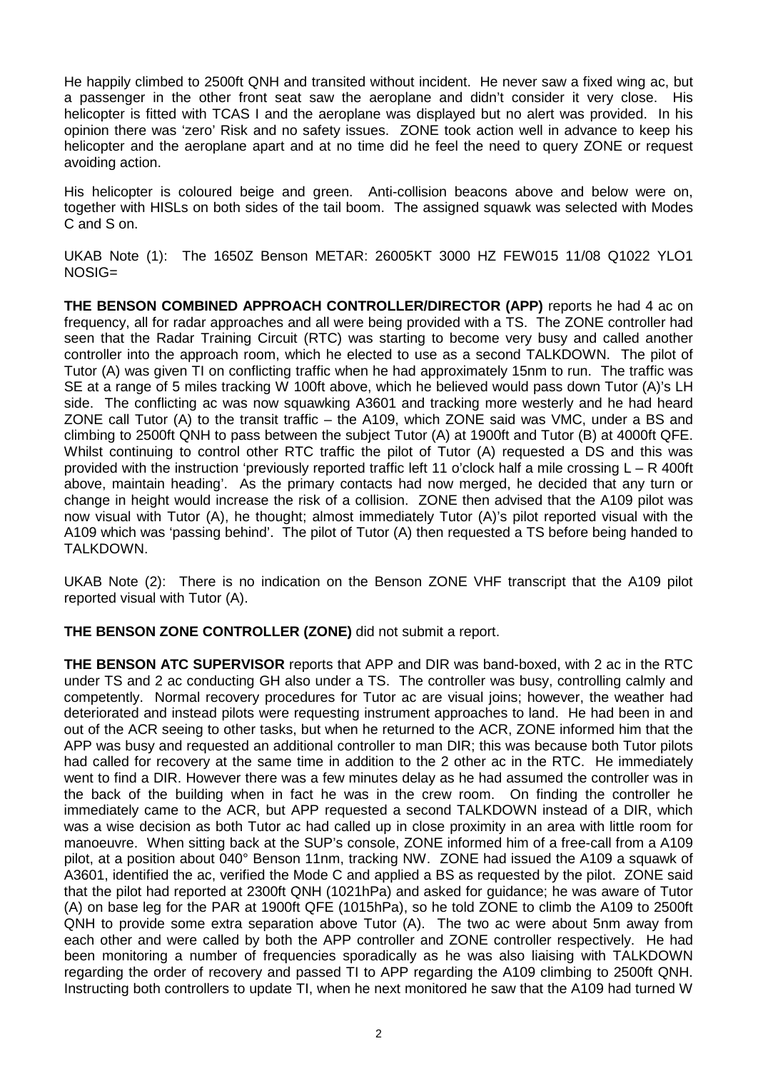He happily climbed to 2500ft QNH and transited without incident. He never saw a fixed wing ac, but a passenger in the other front seat saw the aeroplane and didn't consider it very close. His helicopter is fitted with TCAS I and the aeroplane was displayed but no alert was provided. In his opinion there was 'zero' Risk and no safety issues. ZONE took action well in advance to keep his helicopter and the aeroplane apart and at no time did he feel the need to query ZONE or request avoiding action.

His helicopter is coloured beige and green. Anti-collision beacons above and below were on, together with HISLs on both sides of the tail boom. The assigned squawk was selected with Modes C and S on.

UKAB Note (1): The 1650Z Benson METAR: 26005KT 3000 HZ FEW015 11/08 Q1022 YLO1 NOSIG=

**THE BENSON COMBINED APPROACH CONTROLLER/DIRECTOR (APP)** reports he had 4 ac on frequency, all for radar approaches and all were being provided with a TS. The ZONE controller had seen that the Radar Training Circuit (RTC) was starting to become very busy and called another controller into the approach room, which he elected to use as a second TALKDOWN. The pilot of Tutor (A) was given TI on conflicting traffic when he had approximately 15nm to run. The traffic was SE at a range of 5 miles tracking W 100ft above, which he believed would pass down Tutor (A)'s LH side. The conflicting ac was now squawking A3601 and tracking more westerly and he had heard ZONE call Tutor (A) to the transit traffic – the A109, which ZONE said was VMC, under a BS and climbing to 2500ft QNH to pass between the subject Tutor (A) at 1900ft and Tutor (B) at 4000ft QFE. Whilst continuing to control other RTC traffic the pilot of Tutor (A) requested a DS and this was provided with the instruction 'previously reported traffic left 11 o'clock half a mile crossing L – R 400ft above, maintain heading'. As the primary contacts had now merged, he decided that any turn or change in height would increase the risk of a collision. ZONE then advised that the A109 pilot was now visual with Tutor (A), he thought; almost immediately Tutor (A)'s pilot reported visual with the A109 which was 'passing behind'. The pilot of Tutor (A) then requested a TS before being handed to TALKDOWN.

UKAB Note (2): There is no indication on the Benson ZONE VHF transcript that the A109 pilot reported visual with Tutor (A).

**THE BENSON ZONE CONTROLLER (ZONE)** did not submit a report.

**THE BENSON ATC SUPERVISOR** reports that APP and DIR was band-boxed, with 2 ac in the RTC under TS and 2 ac conducting GH also under a TS. The controller was busy, controlling calmly and competently. Normal recovery procedures for Tutor ac are visual joins; however, the weather had deteriorated and instead pilots were requesting instrument approaches to land. He had been in and out of the ACR seeing to other tasks, but when he returned to the ACR, ZONE informed him that the APP was busy and requested an additional controller to man DIR; this was because both Tutor pilots had called for recovery at the same time in addition to the 2 other ac in the RTC. He immediately went to find a DIR. However there was a few minutes delay as he had assumed the controller was in the back of the building when in fact he was in the crew room. On finding the controller he immediately came to the ACR, but APP requested a second TALKDOWN instead of a DIR, which was a wise decision as both Tutor ac had called up in close proximity in an area with little room for manoeuvre. When sitting back at the SUP's console, ZONE informed him of a free-call from a A109 pilot, at a position about 040° Benson 11nm, tracking NW. ZONE had issued the A109 a squawk of A3601, identified the ac, verified the Mode C and applied a BS as requested by the pilot. ZONE said that the pilot had reported at 2300ft QNH (1021hPa) and asked for guidance; he was aware of Tutor (A) on base leg for the PAR at 1900ft QFE (1015hPa), so he told ZONE to climb the A109 to 2500ft QNH to provide some extra separation above Tutor (A). The two ac were about 5nm away from each other and were called by both the APP controller and ZONE controller respectively. He had been monitoring a number of frequencies sporadically as he was also liaising with TALKDOWN regarding the order of recovery and passed TI to APP regarding the A109 climbing to 2500ft QNH. Instructing both controllers to update TI, when he next monitored he saw that the A109 had turned W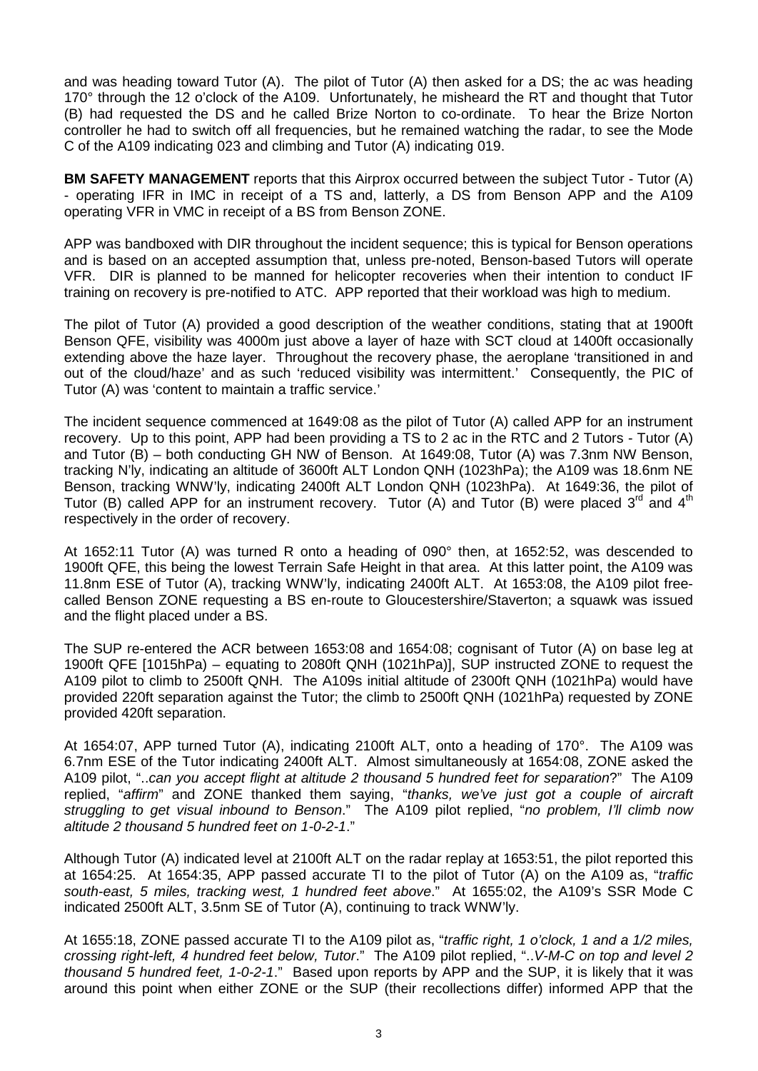and was heading toward Tutor (A). The pilot of Tutor (A) then asked for a DS; the ac was heading 170° through the 12 o'clock of the A109. Unfortunately, he misheard the RT and thought that Tutor (B) had requested the DS and he called Brize Norton to co-ordinate. To hear the Brize Norton controller he had to switch off all frequencies, but he remained watching the radar, to see the Mode C of the A109 indicating 023 and climbing and Tutor (A) indicating 019.

**BM SAFETY MANAGEMENT** reports that this Airprox occurred between the subject Tutor - Tutor (A) - operating IFR in IMC in receipt of a TS and, latterly, a DS from Benson APP and the A109 operating VFR in VMC in receipt of a BS from Benson ZONE.

APP was bandboxed with DIR throughout the incident sequence; this is typical for Benson operations and is based on an accepted assumption that, unless pre-noted, Benson-based Tutors will operate VFR. DIR is planned to be manned for helicopter recoveries when their intention to conduct IF training on recovery is pre-notified to ATC. APP reported that their workload was high to medium.

The pilot of Tutor (A) provided a good description of the weather conditions, stating that at 1900ft Benson QFE, visibility was 4000m just above a layer of haze with SCT cloud at 1400ft occasionally extending above the haze layer. Throughout the recovery phase, the aeroplane 'transitioned in and out of the cloud/haze' and as such 'reduced visibility was intermittent.' Consequently, the PIC of Tutor (A) was 'content to maintain a traffic service.'

The incident sequence commenced at 1649:08 as the pilot of Tutor (A) called APP for an instrument recovery. Up to this point, APP had been providing a TS to 2 ac in the RTC and 2 Tutors - Tutor (A) and Tutor (B) – both conducting GH NW of Benson. At 1649:08, Tutor (A) was 7.3nm NW Benson, tracking N'ly, indicating an altitude of 3600ft ALT London QNH (1023hPa); the A109 was 18.6nm NE Benson, tracking WNW'ly, indicating 2400ft ALT London QNH (1023hPa). At 1649:36, the pilot of Tutor (B) called APP for an instrument recovery. Tutor (A) and Tutor (B) were placed  $3^{rd}$  and  $4^{th}$ respectively in the order of recovery.

At 1652:11 Tutor (A) was turned R onto a heading of 090° then, at 1652:52, was descended to 1900ft QFE, this being the lowest Terrain Safe Height in that area. At this latter point, the A109 was 11.8nm ESE of Tutor (A), tracking WNW'ly, indicating 2400ft ALT. At 1653:08, the A109 pilot freecalled Benson ZONE requesting a BS en-route to Gloucestershire/Staverton; a squawk was issued and the flight placed under a BS.

The SUP re-entered the ACR between 1653:08 and 1654:08; cognisant of Tutor (A) on base leg at 1900ft QFE [1015hPa) – equating to 2080ft QNH (1021hPa)], SUP instructed ZONE to request the A109 pilot to climb to 2500ft QNH. The A109s initial altitude of 2300ft QNH (1021hPa) would have provided 220ft separation against the Tutor; the climb to 2500ft QNH (1021hPa) requested by ZONE provided 420ft separation.

At 1654:07, APP turned Tutor (A), indicating 2100ft ALT, onto a heading of 170°. The A109 was 6.7nm ESE of the Tutor indicating 2400ft ALT. Almost simultaneously at 1654:08, ZONE asked the A109 pilot, "..*can you accept flight at altitude 2 thousand 5 hundred feet for separation*?" The A109 replied, "*affirm*" and ZONE thanked them saying, "*thanks, we've just got a couple of aircraft struggling to get visual inbound to Benson*." The A109 pilot replied, "*no problem, I'll climb now altitude 2 thousand 5 hundred feet on 1-0-2-1*."

Although Tutor (A) indicated level at 2100ft ALT on the radar replay at 1653:51, the pilot reported this at 1654:25. At 1654:35, APP passed accurate TI to the pilot of Tutor (A) on the A109 as, "*traffic south-east, 5 miles, tracking west, 1 hundred feet above*." At 1655:02, the A109's SSR Mode C indicated 2500ft ALT, 3.5nm SE of Tutor (A), continuing to track WNW'ly.

At 1655:18, ZONE passed accurate TI to the A109 pilot as, "*traffic right, 1 o'clock, 1 and a 1/2 miles, crossing right-left, 4 hundred feet below, Tutor*." The A109 pilot replied, "..*V-M-C on top and level 2 thousand 5 hundred feet, 1-0-2-1*." Based upon reports by APP and the SUP, it is likely that it was around this point when either ZONE or the SUP (their recollections differ) informed APP that the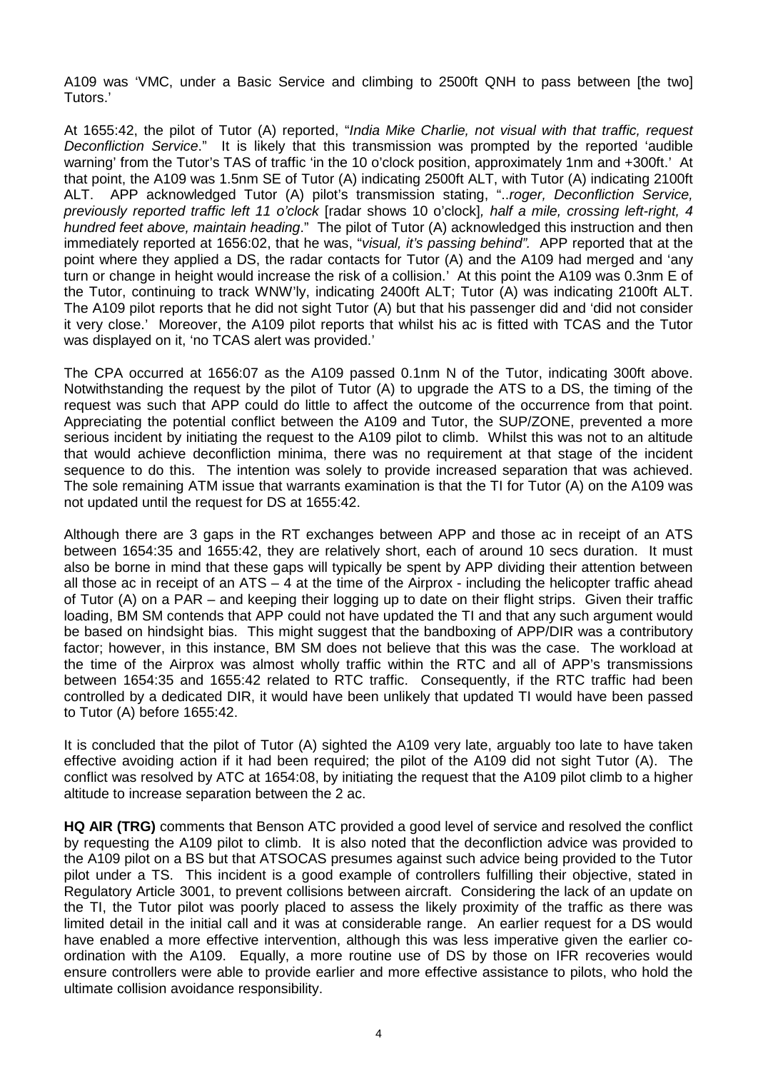A109 was 'VMC, under a Basic Service and climbing to 2500ft QNH to pass between [the two] Tutors.'

At 1655:42, the pilot of Tutor (A) reported, "*India Mike Charlie, not visual with that traffic, request Deconfliction Service*." It is likely that this transmission was prompted by the reported 'audible warning' from the Tutor's TAS of traffic 'in the 10 o'clock position, approximately 1nm and +300ft.' At that point, the A109 was 1.5nm SE of Tutor (A) indicating 2500ft ALT, with Tutor (A) indicating 2100ft ALT. APP acknowledged Tutor (A) pilot's transmission stating, "..*roger, Deconfliction Service, previously reported traffic left 11 o'clock* [radar shows 10 o'clock]*, half a mile, crossing left-right, 4 hundred feet above, maintain heading*." The pilot of Tutor (A) acknowledged this instruction and then immediately reported at 1656:02, that he was, "*visual, it's passing behind".* APP reported that at the point where they applied a DS, the radar contacts for Tutor (A) and the A109 had merged and 'any turn or change in height would increase the risk of a collision.' At this point the A109 was 0.3nm E of the Tutor, continuing to track WNW'ly, indicating 2400ft ALT; Tutor (A) was indicating 2100ft ALT. The A109 pilot reports that he did not sight Tutor (A) but that his passenger did and 'did not consider it very close.' Moreover, the A109 pilot reports that whilst his ac is fitted with TCAS and the Tutor was displayed on it, 'no TCAS alert was provided.'

The CPA occurred at 1656:07 as the A109 passed 0.1nm N of the Tutor, indicating 300ft above. Notwithstanding the request by the pilot of Tutor (A) to upgrade the ATS to a DS, the timing of the request was such that APP could do little to affect the outcome of the occurrence from that point. Appreciating the potential conflict between the A109 and Tutor, the SUP/ZONE, prevented a more serious incident by initiating the request to the A109 pilot to climb. Whilst this was not to an altitude that would achieve deconfliction minima, there was no requirement at that stage of the incident sequence to do this. The intention was solely to provide increased separation that was achieved. The sole remaining ATM issue that warrants examination is that the TI for Tutor (A) on the A109 was not updated until the request for DS at 1655:42.

Although there are 3 gaps in the RT exchanges between APP and those ac in receipt of an ATS between 1654:35 and 1655:42, they are relatively short, each of around 10 secs duration. It must also be borne in mind that these gaps will typically be spent by APP dividing their attention between all those ac in receipt of an  $ATS - 4$  at the time of the Airprox - including the helicopter traffic ahead of Tutor (A) on a PAR – and keeping their logging up to date on their flight strips. Given their traffic loading, BM SM contends that APP could not have updated the TI and that any such argument would be based on hindsight bias. This might suggest that the bandboxing of APP/DIR was a contributory factor; however, in this instance, BM SM does not believe that this was the case. The workload at the time of the Airprox was almost wholly traffic within the RTC and all of APP's transmissions between 1654:35 and 1655:42 related to RTC traffic. Consequently, if the RTC traffic had been controlled by a dedicated DIR, it would have been unlikely that updated TI would have been passed to Tutor (A) before 1655:42.

It is concluded that the pilot of Tutor (A) sighted the A109 very late, arguably too late to have taken effective avoiding action if it had been required; the pilot of the A109 did not sight Tutor (A). The conflict was resolved by ATC at 1654:08, by initiating the request that the A109 pilot climb to a higher altitude to increase separation between the 2 ac.

**HQ AIR (TRG)** comments that Benson ATC provided a good level of service and resolved the conflict by requesting the A109 pilot to climb. It is also noted that the deconfliction advice was provided to the A109 pilot on a BS but that ATSOCAS presumes against such advice being provided to the Tutor pilot under a TS. This incident is a good example of controllers fulfilling their objective, stated in Regulatory Article 3001, to prevent collisions between aircraft. Considering the lack of an update on the TI, the Tutor pilot was poorly placed to assess the likely proximity of the traffic as there was limited detail in the initial call and it was at considerable range. An earlier request for a DS would have enabled a more effective intervention, although this was less imperative given the earlier coordination with the A109. Equally, a more routine use of DS by those on IFR recoveries would ensure controllers were able to provide earlier and more effective assistance to pilots, who hold the ultimate collision avoidance responsibility.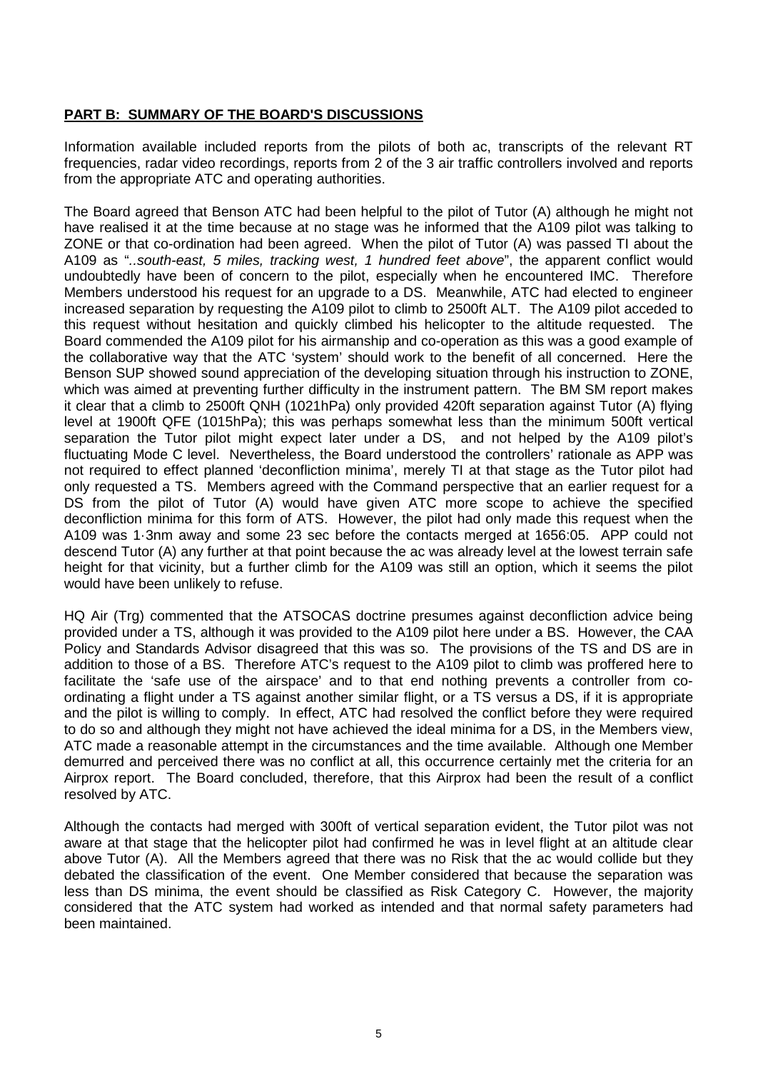## **PART B: SUMMARY OF THE BOARD'S DISCUSSIONS**

Information available included reports from the pilots of both ac, transcripts of the relevant RT frequencies, radar video recordings, reports from 2 of the 3 air traffic controllers involved and reports from the appropriate ATC and operating authorities.

The Board agreed that Benson ATC had been helpful to the pilot of Tutor (A) although he might not have realised it at the time because at no stage was he informed that the A109 pilot was talking to ZONE or that co-ordination had been agreed. When the pilot of Tutor (A) was passed TI about the A109 as "*..south-east, 5 miles, tracking west, 1 hundred feet above*", the apparent conflict would undoubtedly have been of concern to the pilot, especially when he encountered IMC. Therefore Members understood his request for an upgrade to a DS. Meanwhile, ATC had elected to engineer increased separation by requesting the A109 pilot to climb to 2500ft ALT. The A109 pilot acceded to this request without hesitation and quickly climbed his helicopter to the altitude requested. The Board commended the A109 pilot for his airmanship and co-operation as this was a good example of the collaborative way that the ATC 'system' should work to the benefit of all concerned. Here the Benson SUP showed sound appreciation of the developing situation through his instruction to ZONE, which was aimed at preventing further difficulty in the instrument pattern. The BM SM report makes it clear that a climb to 2500ft QNH (1021hPa) only provided 420ft separation against Tutor (A) flying level at 1900ft QFE (1015hPa); this was perhaps somewhat less than the minimum 500ft vertical separation the Tutor pilot might expect later under a DS, and not helped by the A109 pilot's fluctuating Mode C level. Nevertheless, the Board understood the controllers' rationale as APP was not required to effect planned 'deconfliction minima', merely TI at that stage as the Tutor pilot had only requested a TS. Members agreed with the Command perspective that an earlier request for a DS from the pilot of Tutor (A) would have given ATC more scope to achieve the specified deconfliction minima for this form of ATS. However, the pilot had only made this request when the A109 was 1·3nm away and some 23 sec before the contacts merged at 1656:05. APP could not descend Tutor (A) any further at that point because the ac was already level at the lowest terrain safe height for that vicinity, but a further climb for the A109 was still an option, which it seems the pilot would have been unlikely to refuse.

HQ Air (Trg) commented that the ATSOCAS doctrine presumes against deconfliction advice being provided under a TS, although it was provided to the A109 pilot here under a BS. However, the CAA Policy and Standards Advisor disagreed that this was so. The provisions of the TS and DS are in addition to those of a BS. Therefore ATC's request to the A109 pilot to climb was proffered here to facilitate the 'safe use of the airspace' and to that end nothing prevents a controller from coordinating a flight under a TS against another similar flight, or a TS versus a DS, if it is appropriate and the pilot is willing to comply. In effect, ATC had resolved the conflict before they were required to do so and although they might not have achieved the ideal minima for a DS, in the Members view, ATC made a reasonable attempt in the circumstances and the time available. Although one Member demurred and perceived there was no conflict at all, this occurrence certainly met the criteria for an Airprox report. The Board concluded, therefore, that this Airprox had been the result of a conflict resolved by ATC.

Although the contacts had merged with 300ft of vertical separation evident, the Tutor pilot was not aware at that stage that the helicopter pilot had confirmed he was in level flight at an altitude clear above Tutor (A). All the Members agreed that there was no Risk that the ac would collide but they debated the classification of the event. One Member considered that because the separation was less than DS minima, the event should be classified as Risk Category C. However, the majority considered that the ATC system had worked as intended and that normal safety parameters had been maintained.